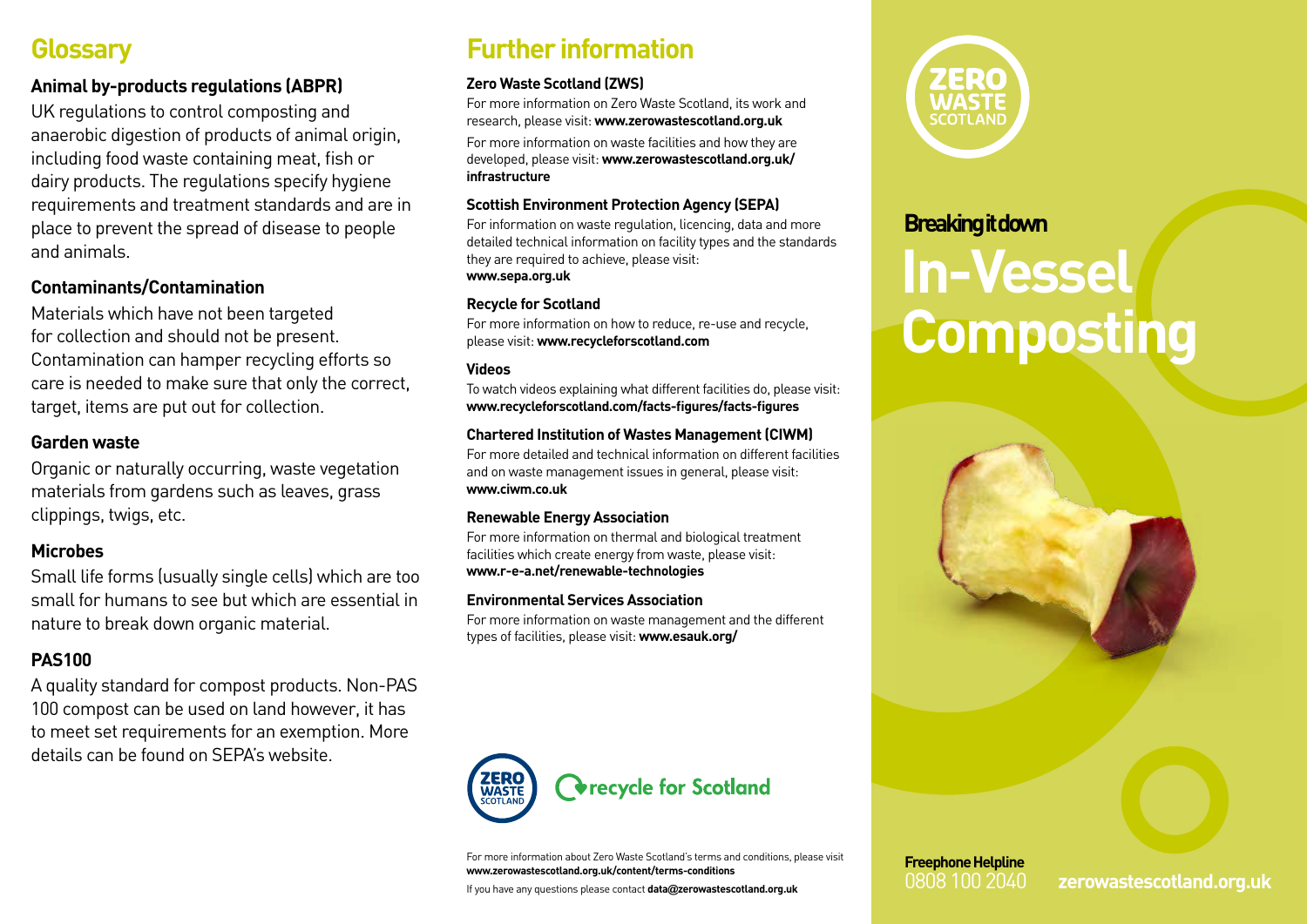## **Glossary**

### **Animal by-products regulations (ABPR)**

UK regulations to control composting and anaerobic digestion of products of animal origin, including food waste containing meat, fish or dairy products. The regulations specify hygiene requirements and treatment standards and are in place to prevent the spread of disease to people and animals.

#### **Contaminants/Contamination**

Materials which have not been targeted for collection and should not be present. Contamination can hamper recycling efforts so care is needed to make sure that only the correct, target, items are put out for collection.

#### **Garden waste**

Organic or naturally occurring, waste vegetation materials from gardens such as leaves, grass clippings, twigs, etc.

#### **Microbes**

Small life forms (usually single cells) which are too small for humans to see but which are essential in nature to break down organic material.

### **PAS100**

A quality standard for compost products. Non-PAS 100 compost can be used on land however, it has to meet set requirements for an exemption. More details can be found on SEPA's website.

## **Further information**

#### **Zero Waste Scotland (ZWS)**

For more information on Zero Waste Scotland, its work and research, please visit: **www.zerowastescotland.org.uk**

For more information on waste facilities and how they are developed, please visit: **www.zerowastescotland.org.uk/ infrastructure**

#### **Scottish Environment Protection Agency (SEPA)**

For information on waste regulation, licencing, data and more detailed technical information on facility types and the standards they are required to achieve, please visit: **www.sepa.org.uk**

#### **Recycle for Scotland**

For more information on how to reduce, re-use and recycle, please visit: **www.recycleforscotland.com**

#### **Videos**

To watch videos explaining what different facilities do, please visit: **www.recycleforscotland.com/facts-figures/facts-figures**

#### **Chartered Institution of Wastes Management (CIWM)**

For more detailed and technical information on different facilities and on waste management issues in general, please visit: **www.ciwm.co.uk**

#### **Renewable Energy Association**

For more information on thermal and biological treatment facilities which create energy from waste, please visit: **www.r-e-a.net/renewable-technologies**

#### **Environmental Services Association**

For more information on waste management and the different types of facilities, please visit: **www.esauk.org/**



For more information about Zero Waste Scotland's terms and conditions, please visit **www.zerowastescotland.org.uk/content/terms-conditions**

If you have any questions please contact **data@zerowastescotland.org.uk**



# **Breaking it down In-Vessel Composting**



0808 100 2040 **zerowastescotland.org.uk**